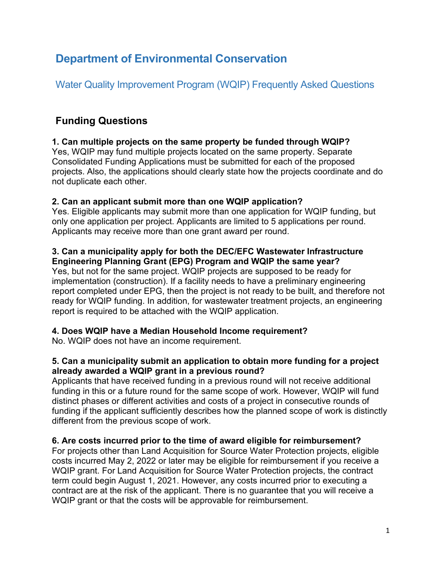# **Department of Environmental Conservation**

Water Quality Improvement Program (WQIP) Frequently Asked Questions

# **Funding Questions**

### **1. Can multiple projects on the same property be funded through WQIP?**

Yes, WQIP may fund multiple projects located on the same property. Separate Consolidated Funding Applications must be submitted for each of the proposed projects. Also, the applications should clearly state how the projects coordinate and do not duplicate each other.

### **2. Can an applicant submit more than one WQIP application?**

Yes. Eligible applicants may submit more than one application for WQIP funding, but only one application per project. Applicants are limited to 5 applications per round. Applicants may receive more than one grant award per round.

#### **3. Can a municipality apply for both the DEC/EFC Wastewater Infrastructure Engineering Planning Grant (EPG) Program and WQIP the same year?**

Yes, but not for the same project. WQIP projects are supposed to be ready for implementation (construction). If a facility needs to have a preliminary engineering report completed under EPG, then the project is not ready to be built, and therefore not ready for WQIP funding. In addition, for wastewater treatment projects, an engineering report is required to be attached with the WQIP application.

### **4. Does WQIP have a Median Household Income requirement?**

No. WQIP does not have an income requirement.

#### **5. Can a municipality submit an application to obtain more funding for a project already awarded a WQIP grant in a previous round?**

Applicants that have received funding in a previous round will not receive additional funding in this or a future round for the same scope of work. However, WQIP will fund distinct phases or different activities and costs of a project in consecutive rounds of funding if the applicant sufficiently describes how the planned scope of work is distinctly different from the previous scope of work.

#### **6. Are costs incurred prior to the time of award eligible for reimbursement?**

For projects other than Land Acquisition for Source Water Protection projects, eligible costs incurred May 2, 2022 or later may be eligible for reimbursement if you receive a WQIP grant. For Land Acquisition for Source Water Protection projects, the contract term could begin August 1, 2021. However, any costs incurred prior to executing a contract are at the risk of the applicant. There is no guarantee that you will receive a WQIP grant or that the costs will be approvable for reimbursement.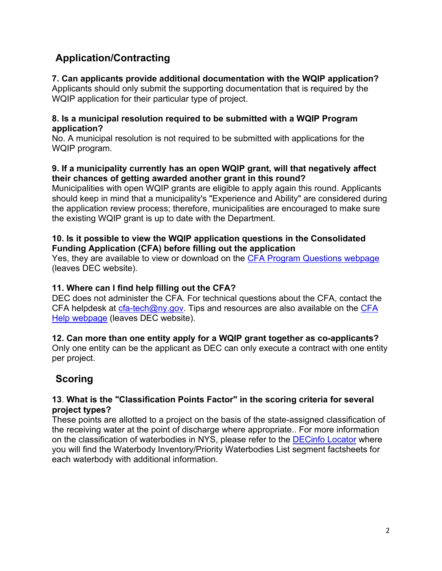## **Application/Contracting**

### **7. Can applicants provide additional documentation with the WQIP application?**

Applicants should only submit the supporting documentation that is required by the WQIP application for their particular type of project.

#### **8. Is a municipal resolution required to be submitted with a WQIP Program application?**

No. A municipal resolution is not required to be submitted with applications for the WQIP program.

#### **9. If a municipality currently has an open WQIP grant, will that negatively affect their chances of getting awarded another grant in this round?**

Municipalities with open WQIP grants are eligible to apply again this round. Applicants should keep in mind that a municipality's "Experience and Ability" are considered during the application review process; therefore, municipalities are encouraged to make sure the existing WQIP grant is up to date with the Department.

#### **10. Is it possible to view the WQIP application questions in the Consolidated Funding Application (CFA) before filling out the application**

Yes, they are available to view or download on the [CFA Program Questions webpage](https://apps.cio.ny.gov/apps/cfa/help.cfm?section=programquestions) (leaves DEC website).

### **11. Where can I find help filling out the CFA?**

DEC does not administer the CFA. For technical questions about the CFA, contact the CFA helpdesk at  $cfa-tech@ny.gov$ . Tips and resources are also available on the CFA [Help webpage](https://apps.cio.ny.gov/apps/cfa/help.cfm?section=all) (leaves DEC website).

### **12. Can more than one entity apply for a WQIP grant together as co-applicants?**

Only one entity can be the applicant as DEC can only execute a contract with one entity per project.

# **Scoring**

#### **13**. **What is the "Classification Points Factor" in the scoring criteria for several project types?**

These points are allotted to a project on the basis of the state-assigned classification of the receiving water at the point of discharge where appropriate.. For more information on the classification of waterbodies in NYS, please refer to the [DECinfo Locator](http://www.dec.ny.gov/pubs/109457.html) where you will find the Waterbody Inventory/Priority Waterbodies List segment factsheets for each waterbody with additional information.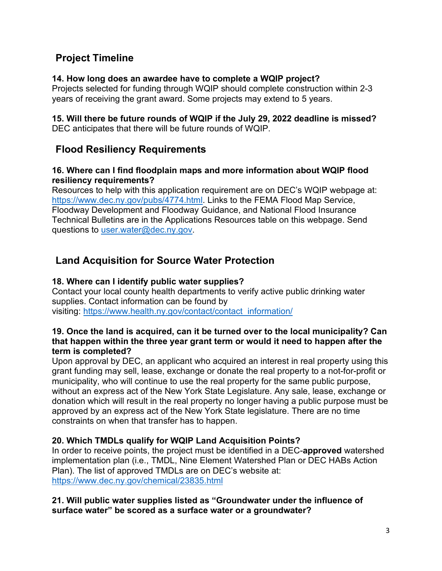## **Project Timeline**

#### **14. How long does an awardee have to complete a WQIP project?**

Projects selected for funding through WQIP should complete construction within 2-3 years of receiving the grant award. Some projects may extend to 5 years.

#### **15. Will there be future rounds of WQIP if the July 29, 2022 deadline is missed?** DEC anticipates that there will be future rounds of WQIP.

## **Flood Resiliency Requirements**

#### **16. Where can I find floodplain maps and more information about WQIP flood resiliency requirements?**

Resources to help with this application requirement are on DEC's WQIP webpage at: [https://www.dec.ny.gov/pubs/4774.html.](https://www.dec.ny.gov/pubs/4774.html) Links to the FEMA Flood Map Service, Floodway Development and Floodway Guidance, and National Flood Insurance Technical Bulletins are in the Applications Resources table on this webpage. Send questions to [user.water@dec.ny.gov.](mailto:user.water@dec.ny.gov)

## **Land Acquisition for Source Water Protection**

### **18. Where can I identify public water supplies?**

Contact your local county health departments to verify active public drinking water supplies. Contact information can be found by visiting: [https://www.health.ny.gov/contact/contact\\_information/](https://www.health.ny.gov/contact/contact_information/)

#### **19. Once the land is acquired, can it be turned over to the local municipality? Can that happen within the three year grant term or would it need to happen after the term is completed?**

Upon approval by DEC, an applicant who acquired an interest in real property using this grant funding may sell, lease, exchange or donate the real property to a not-for-profit or municipality, who will continue to use the real property for the same public purpose, without an express act of the New York State Legislature. Any sale, lease, exchange or donation which will result in the real property no longer having a public purpose must be approved by an express act of the New York State legislature. There are no time constraints on when that transfer has to happen.

#### **20. Which TMDLs qualify for WQIP Land Acquisition Points?**

In order to receive points, the project must be identified in a DEC-**approved** watershed implementation plan (i.e., TMDL, Nine Element Watershed Plan or DEC HABs Action Plan). The list of approved TMDLs are on DEC's website at: <https://www.dec.ny.gov/chemical/23835.html>

#### **21. Will public water supplies listed as "Groundwater under the influence of surface water" be scored as a surface water or a groundwater?**